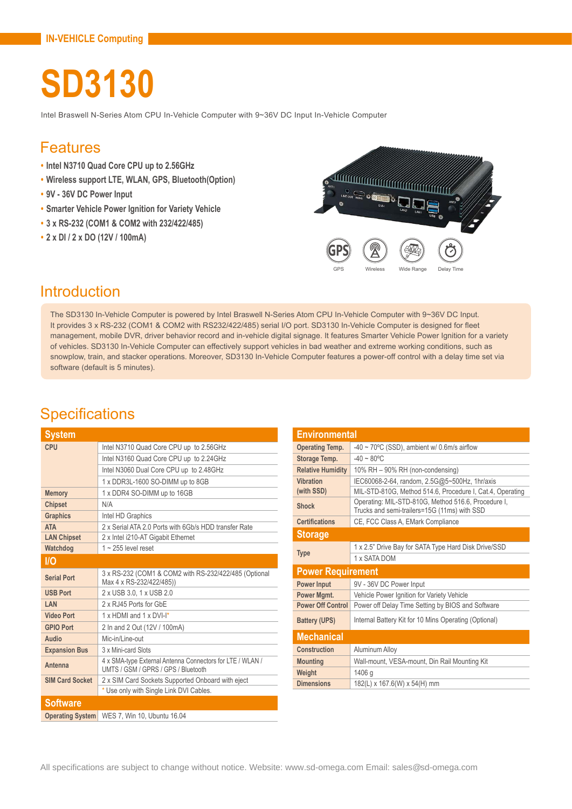# **SD3130**

Intel Braswell N-Series Atom CPU In-Vehicle Computer with 9~36V DC Input In-Vehicle Computer

#### Features

- **• Intel N3710 Quad Core CPU up to 2.56GHz**
- **• Wireless support LTE, WLAN, GPS, Bluetooth(Option)**
- **• 9V 36V DC Power Input**
- **• Smarter Vehicle Power Ignition for Variety Vehicle**
- **• 3 x RS-232 (COM1 & COM2 with 232/422/485)**
- **• 2 x DI / 2 x DO (12V / 100mA)**

<u>saan muu mi</u> جح **GPS** GPS Wireless Wide Range Delay Time

### **Introduction**

The SD3130 In-Vehicle Computer is powered by Intel Braswell N-Series Atom CPU In-Vehicle Computer with 9~36V DC Input. It provides 3 x RS-232 (COM1 & COM2 with RS232/422/485) serial I/O port. SD3130 In-Vehicle Computer is designed for fleet management, mobile DVR, driver behavior record and in-vehicle digital signage. It features Smarter Vehicle Power Ignition for a variety of vehicles. SD3130 In-Vehicle Computer can effectively support vehicles in bad weather and extreme working conditions, such as snowplow, train, and stacker operations. Moreover, SD3130 In-Vehicle Computer features a power-off control with a delay time set via software (default is 5 minutes).

### **Specifications**

| System                  |                                                                                                  |  |
|-------------------------|--------------------------------------------------------------------------------------------------|--|
| CPU                     | Intel N3710 Quad Core CPU up to 2.56GHz                                                          |  |
|                         | Intel N3160 Quad Core CPU up to 2.24GHz                                                          |  |
|                         | Intel N3060 Dual Core CPU up to 2.48GHz                                                          |  |
|                         | 1 x DDR3L-1600 SO-DIMM up to 8GB                                                                 |  |
| <b>Memory</b>           | 1 x DDR4 SO-DIMM up to 16GB                                                                      |  |
| <b>Chipset</b>          | N/A                                                                                              |  |
| <b>Graphics</b>         | Intel HD Graphics                                                                                |  |
| <b>ATA</b>              | 2 x Serial ATA 2.0 Ports with 6Gb/s HDD transfer Rate                                            |  |
| <b>LAN Chipset</b>      | 2 x Intel i210-AT Gigabit Ethernet                                                               |  |
| Watchdog                | $1 - 255$ level reset                                                                            |  |
| I/O                     |                                                                                                  |  |
| <b>Serial Port</b>      | 3 x RS-232 (COM1 & COM2 with RS-232/422/485 (Optional<br>Max 4 x RS-232/422/485))                |  |
| <b>USB Port</b>         | 2 x USB 3.0, 1 x USB 2.0                                                                         |  |
| LAN                     | 2 x RJ45 Ports for GbF                                                                           |  |
| <b>Video Port</b>       | 1 x HDMI and 1 x DVI-I*                                                                          |  |
| <b>GPIO Port</b>        | 2 In and 2 Out (12V / 100mA)                                                                     |  |
| Audio                   | Mic-in/Line-out                                                                                  |  |
| <b>Expansion Bus</b>    | 3 x Mini-card Slots                                                                              |  |
| Antenna                 | 4 x SMA-type External Antenna Connectors for LTE / WLAN /<br>UMTS / GSM / GPRS / GPS / Bluetooth |  |
| <b>SIM Card Socket</b>  | 2 x SIM Card Sockets Supported Onboard with eject                                                |  |
|                         | * Use only with Single Link DVI Cables.                                                          |  |
| <b>Software</b>         |                                                                                                  |  |
| <b>Operating System</b> | WES 7, Win 10, Ubuntu 16.04                                                                      |  |

| <b>Environmental</b>     |                                                                                                     |  |
|--------------------------|-----------------------------------------------------------------------------------------------------|--|
| <b>Operating Temp.</b>   | $-40 \sim 70^{\circ}$ C (SSD), ambient w/ 0.6m/s airflow                                            |  |
| Storage Temp.            | $-40 \sim 80^{\circ}$ C                                                                             |  |
| <b>Relative Humidity</b> | 10% RH - 90% RH (non-condensing)                                                                    |  |
| <b>Vibration</b>         | IEC60068-2-64, random, 2.5G@5~500Hz, 1hr/axis                                                       |  |
| (with SSD)               | MIL-STD-810G, Method 514.6, Procedure I, Cat.4, Operating                                           |  |
| Shock                    | Operating: MIL-STD-810G, Method 516.6, Procedure I,<br>Trucks and semi-trailers=15G (11ms) with SSD |  |
| <b>Certifications</b>    | CE, FCC Class A, EMark Compliance                                                                   |  |
| <b>Storage</b>           |                                                                                                     |  |
|                          | 1 x 2.5" Drive Bay for SATA Type Hard Disk Drive/SSD                                                |  |
| <b>Type</b>              | 1 x SATA DOM                                                                                        |  |
| <b>Power Requirement</b> |                                                                                                     |  |
| <b>Power Input</b>       | 9V - 36V DC Power Input                                                                             |  |
| Power Mgmt.              | Vehicle Power Ignition for Variety Vehicle                                                          |  |
| <b>Power Off Control</b> | Power off Delay Time Setting by BIOS and Software                                                   |  |
| <b>Battery (UPS)</b>     | Internal Battery Kit for 10 Mins Operating (Optional)                                               |  |
| <b>Mechanical</b>        |                                                                                                     |  |
| <b>Construction</b>      | Aluminum Alloy                                                                                      |  |
| <b>Mounting</b>          | Wall-mount, VESA-mount, Din Rail Mounting Kit                                                       |  |
| Weight                   | 1406 g                                                                                              |  |
| <b>Dimensions</b>        | $182(L)$ x 167.6(W) x 54(H) mm                                                                      |  |